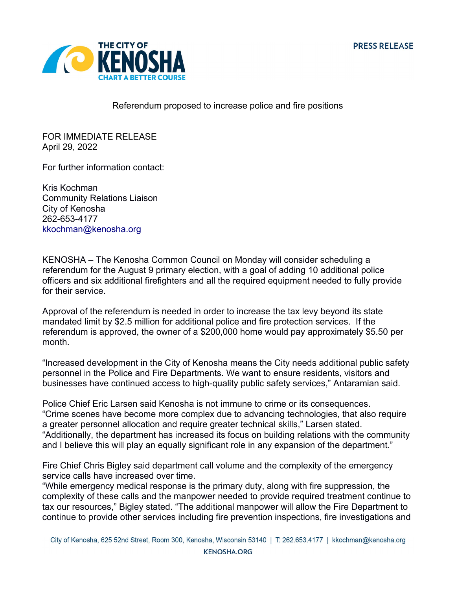

Referendum proposed to increase police and fire positions

FOR IMMEDIATE RELEASE April 29, 2022

For further information contact:

Kris Kochman Community Relations Liaison City of Kenosha 262-653-4177 [kkochman@kenosha.org](mailto:kkochman@kenosha.org)

KENOSHA – The Kenosha Common Council on Monday will consider scheduling a referendum for the August 9 primary election, with a goal of adding 10 additional police officers and six additional firefighters and all the required equipment needed to fully provide for their service.

Approval of the referendum is needed in order to increase the tax levy beyond its state mandated limit by \$2.5 million for additional police and fire protection services. If the referendum is approved, the owner of a \$200,000 home would pay approximately \$5.50 per month.

"Increased development in the City of Kenosha means the City needs additional public safety personnel in the Police and Fire Departments. We want to ensure residents, visitors and businesses have continued access to high-quality public safety services," Antaramian said.

Police Chief Eric Larsen said Kenosha is not immune to crime or its consequences. "Crime scenes have become more complex due to advancing technologies, that also require a greater personnel allocation and require greater technical skills," Larsen stated. "Additionally, the department has increased its focus on building relations with the community and I believe this will play an equally significant role in any expansion of the department."

Fire Chief Chris Bigley said department call volume and the complexity of the emergency service calls have increased over time.

"While emergency medical response is the primary duty, along with fire suppression, the complexity of these calls and the manpower needed to provide required treatment continue to tax our resources," Bigley stated. "The additional manpower will allow the Fire Department to continue to provide other services including fire prevention inspections, fire investigations and